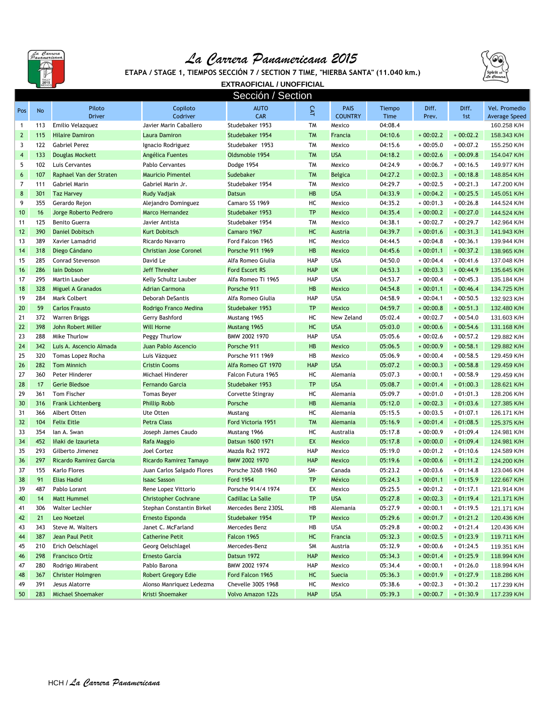

## *La Carrera Panamericana 2015*





**EXTRAOFICIAL / UNOFFICIAL** Sección / Section

| Pos            | No         | Piloto<br><b>Driver</b>                      | Copiloto<br>Codriver                         | <b>AUTO</b><br><b>CAR</b>              | <b>CAT</b>              | <b>PAIS</b><br><b>COUNTRY</b> | Tiempo<br><b>Time</b> | Diff.<br>Prev.           | Diff.<br>1st             | Vel. Promedio<br>Average Speed |
|----------------|------------|----------------------------------------------|----------------------------------------------|----------------------------------------|-------------------------|-------------------------------|-----------------------|--------------------------|--------------------------|--------------------------------|
| $\mathbf{1}$   | 113        | Emilio Velazquez                             | Javier Marin Caballero                       | Studebaker 1953                        | <b>TM</b>               | Mexico                        | 04:08.4               |                          |                          | 160.258 K/H                    |
| $\mathbf{2}$   | 115        | <b>Hilaire Damiron</b>                       | Laura Damiron                                | Studebaker 1954                        | <b>TM</b>               | Francia                       | 04:10.6               | $+00:02.2$               | $+00:02.2$               | 158.343 K/H                    |
| 3              | 122        | <b>Gabriel Perez</b>                         | Ignacio Rodriguez                            | Studebaker 1953                        | <b>TM</b>               | Mexico                        | 04:15.6               | $+00:05.0$               | $+00:07.2$               | 155.250 K/H                    |
| $\overline{4}$ | 133        | <b>Douglas Mockett</b>                       | Angélica Fuentes                             | Oldsmoble 1954                         | <b>TM</b>               | <b>USA</b>                    | 04:18.2               | $+00:02.6$               | $+00:09.8$               | 154.047 K/H                    |
| 5              | 102        | Luis Cervantes                               | Pablo Cervantes                              |                                        | <b>TM</b>               | Mexico                        | 04:24.9               | $+00:06.7$               | $+00:16.5$               | 149.977 K/H                    |
|                | 107        |                                              |                                              | Dodge 1954                             | <b>TM</b>               |                               |                       |                          |                          |                                |
| 6<br>7         |            | Raphael Van der Straten                      | <b>Mauricio Pimentel</b>                     | Sudebaker<br>Studebaker 1954           | <b>TM</b>               | <b>Belgica</b>                | 04:27.2<br>04:29.7    | $+00:02.3$               | $+00:18.8$<br>$+00:21.3$ | 148.854 K/H                    |
|                | 111        | Gabriel Marin                                | Gabriel Marin Jr.                            |                                        | <b>HB</b>               | Mexico                        |                       | $+00:02.5$               |                          | 147.200 K/H                    |
| 8<br>9         | 301<br>355 | <b>Taz Harvey</b>                            | Rudy Vadjak                                  | <b>Datsun</b>                          |                         | <b>USA</b>                    | 04:33.9               | $+00:04.2$               | $+00:25.5$               | 145.051 K/H                    |
|                |            | Gerardo Rejon                                | Alejandro Dominguez                          | Camaro SS 1969                         | НC                      | Mexico                        | 04:35.2               | $+00:01.3$               | $+00:26.8$               | 144.524 K/H                    |
| 10             | 16<br>125  | Jorge Roberto Pedrero                        | Marco Hernandez                              | Studebaker 1953                        | <b>TP</b>               | Mexico                        | 04:35.4               | $+00:00.2$               | $+00:27.0$               | 144.524 K/H                    |
| 11             |            | Benito Guerra                                | Javier Antista                               | Studebaker 1954                        | TM                      | Mexico                        | 04:38.1               | $+00:02.7$               | $+00:29.7$               | 142.964 K/H                    |
| 12             | 390        | <b>Daniel Dobitsch</b>                       | Kurt Dobitsch                                | Camaro 1967                            | HC<br>НC                | Austria                       | 04:39.7               | $+00:01.6$               | $+00:31.3$               | 141.943 K/H                    |
| 13             | 389        | Xavier Lamadrid                              | Ricardo Navarro                              | Ford Falcon 1965                       |                         | Mexico                        | 04:44.5               | $+00:04.8$               | $+00:36.1$               | 139.944 K/H                    |
| 14             | 318<br>285 | Diego Cándano                                | <b>Christian Jose Coronel</b>                | Porsche 911 1969                       | <b>HB</b><br>HAP        | Mexico<br><b>USA</b>          | 04:45.6               | $+00:01.1$               | $+00:37.2$               | 138.965 K/H                    |
| 15             |            | Conrad Stevenson                             | David Le                                     | Alfa Romeo Giulia                      |                         |                               | 04:50.0               | $+00:04.4$               | $+00:41.6$               | 137.048 K/H                    |
| 16             | 286        | lain Dobson                                  | Jeff Thresher                                | <b>Ford Escort RS</b>                  | <b>HAP</b>              | <b>UK</b>                     | 04:53.3               | $+00:03.3$               | $+00:44.9$               | 135.645 K/H                    |
| 17             | 295        | Martin Lauber                                | Kelly Schultz Lauber                         | Alfa Romeo Ti 1965                     | HAP                     | <b>USA</b>                    | 04:53.7               | $+00:00.4$               | $+00:45.3$               | 135.184 K/H                    |
| 18             | 328        | <b>Miguel A Granados</b>                     | <b>Adrian Carmona</b>                        | Porsche 911                            | <b>HB</b>               | <b>Mexico</b>                 | 04:54.8               | $+00:01.1$               | $+00:46.4$               | 134.725 K/H                    |
| 19             | 284        | Mark Colbert                                 | Deborah DeSantis                             | Alfa Romeo Giulia                      | HAP                     | <b>USA</b>                    | 04:58.9               | $+00:04.1$               | $+00:50.5$               | 132.923 K/H                    |
| 20             | 59         | <b>Carlos Frausto</b>                        | Rodrigo Franco Medina                        | Studebaker 1953                        | <b>TP</b>               | <b>Mexico</b>                 | 04:59.7               | $+00:00.8$               | $+00:51.3$               | 132.480 K/H                    |
| 21             | 372        | <b>Warren Briggs</b>                         | Gerry Bashford                               | Mustang 1965                           | НC                      | New Zeland                    | 05:02.4               | $+00:02.7$               | $+00:54.0$               | 131.603 K/H                    |
| 22             | 398        | John Robert Miller                           | <b>Will Horne</b>                            | Mustang 1965                           | HC                      | <b>USA</b>                    | 05:03.0               | $+00:00.6$               | $+00:54.6$               | 131.168 K/H                    |
| 23             | 288        | Mike Thurlow                                 | Peggy Thurlow                                | BMW 2002 1970                          | HAP                     | <b>USA</b>                    | 05:05.6               | $+00:02.6$               | $+00:57.2$               | 129.882 K/H                    |
| 24             | 342        | Luis A. Ascencio Almada                      | Juan Pablo Ascencio                          | Porsche 911                            | <b>HB</b>               | Mexico                        | 05:06.5               | $+00:00.9$               | $+00:58.1$               | 129.882 K/H                    |
| 25             | 320        | Tomas Lopez Rocha                            | Luis Vázquez                                 | Porsche 911 1969                       | HB                      | Mexico                        | 05:06.9               | $+00:00.4$               | $+00:58.5$               | 129.459 K/H                    |
| 26             | 282        | <b>Tom Minnich</b>                           | <b>Cristin Cooms</b>                         | Alfa Romeo GT 1970                     | <b>HAP</b>              | <b>USA</b>                    | 05:07.2               | $+00:00.3$               | $+00:58.8$               | 129.459 K/H                    |
| 27             | 360        | Peter Hinderer                               | Michael Hinderer                             | Falcon Futura 1965                     | нc                      | Alemania                      | 05:07.3               | $+00:00.1$               | $+00:58.9$               | 129.459 K/H                    |
| 28             | 17         | Gerie Bledsoe                                | Fernando Garcia                              | Studebaker 1953                        | <b>TP</b>               | <b>USA</b>                    | 05:08.7               | $+00:01.4$               | $+01:00.3$               | 128.621 K/H                    |
| 29             | 361        | Tom Fischer                                  | <b>Tomas Beyer</b>                           | Corvette Stingray                      | НC                      | Alemania                      | 05:09.7               | $+00:01.0$               | $+01:01.3$               | 128.206 K/H                    |
| 30             | 316        | <b>Frank Lichtenberg</b>                     | <b>Phillip Robb</b>                          | Porsche                                | HB<br>HC                | Alemania                      | 05:12.0               | $+00:02.3$               | $+01:03.6$               | 127.385 K/H                    |
| 31<br>32       | 366<br>104 | Albert Otten<br><b>Felix Eitle</b>           | Ute Otten<br><b>Petra Class</b>              | Mustang<br>Ford Victoria 1951          | <b>TM</b>               | Alemania                      | 05:15.5<br>05:16.9    | $+00:03.5$<br>$+00:01.4$ | $+01:07.1$               | 126.171 K/H                    |
|                | 354        |                                              |                                              |                                        |                         | Alemania                      |                       |                          | $+01:08.5$               | 125.375 K/H                    |
| 33<br>34       | 452        | lan A. Swan<br>lñaki de Izaurieta            | Joseph James Caudo                           | Mustang 1966                           | НC<br><b>EX</b>         | Australia                     | 05:17.8               | $+00:00.9$<br>$+00:00.0$ | $+01:09.4$<br>$+01:09.4$ | 124.981 K/H                    |
|                | 293        |                                              | Rafa Maggio<br>Joel Cortez                   | Datsun 1600 1971                       | HAP                     | Mexico                        | 05:17.8               |                          |                          | 124.981 K/H                    |
| 35<br>36       | 297        | Gilberto Jimenez<br>Ricardo Ramirez Garcia   | Ricardo Ramirez Tamayo                       | Mazda Rx2 1972<br>BMW 2002 1970        | <b>HAP</b>              | Mexico<br>Mexico              | 05:19.0<br>05:19.6    | $+00:01.2$<br>$+00:00.6$ | $+01:10.6$<br>$+01:11.2$ | 124.589 K/H<br>124.200 K/H     |
| 37             | 155        | Karlo Flores                                 |                                              |                                        | SM-                     |                               |                       |                          |                          |                                |
| 38             | 91         | <b>Elias Hadid</b>                           | Juan Carlos Salgado Flores                   | Porsche 326B 1960<br><b>Ford 1954</b>  | <b>TP</b>               | Canada<br>México              | 05:23.2<br>05:24.3    | $+00:03.6$<br>$+00:01.1$ | $+01:14.8$<br>$+01:15.9$ | 123.046 K/H                    |
| 39             | 487        | Pablo Lorant                                 | <b>Isaac Sasson</b><br>Rene Lopez Vittorio   | Porsche 914/4 1974                     | EX                      | Mexico                        | 05:25.5               | $+00:01.2$               | $+01:17.1$               | 122.667 K/H<br>121.914 K/H     |
| 40             |            | Matt Hummel                                  | <b>Christopher Cochrane</b>                  | Cadillac La Salle                      | <b>TP</b>               | <b>USA</b>                    | 05:27.8               |                          | $+00:02.3 + 01:19.4$     |                                |
|                | 14         | Walter Lechler                               |                                              |                                        |                         | Alemania                      |                       |                          |                          | 121.171 K/H<br>121.171 K/H     |
| 41             | 306<br>21  | Leo Noetzel                                  | Stephan Constantin Birkel<br>Ernesto Esponda | Mercedes Benz 230SL<br>Studebaker 1954 | HB<br>TP                |                               | 05:27.9               | $+00:00.1$               | $+01:19.5$               |                                |
| 42             |            |                                              |                                              |                                        |                         | Mexico<br>USA                 | 05:29.6               | $+00:01.7$               | $+01:21.2$               | 120.436 K/H                    |
| 43             | 343        | Steve M. Walters                             | Janet C. McFarland                           | Mercedes Benz                          | HB                      |                               | 05:29.8               | $+00:00.2$               | $+01:21.4$               | 120.436 K/H                    |
| 44             | 387        | Jean Paul Petit                              | <b>Catherine Petit</b>                       | Falcon 1965                            | HC                      | Francia                       | 05:32.3               | $+00:02.5$               | $+01:23.9$               | 119.711 K/H                    |
| 45             | 210        | Erich Oelschlagel<br>Francisco Ortíz         | Georg Oelschlagel<br>Ernesto García          | Mercedes-Benz                          | <b>SM</b><br><b>HAP</b> | Austria                       | 05:32.9               | $+00:00.6$               | $+01:24.5$               | 119.351 K/H                    |
| 46             | 298<br>280 |                                              | Pablo Barona                                 | Datsun 1972<br>BMW 2002 1974           |                         | Mexico                        | 05:34.3               | $+00:01.4$<br>$+00:00.1$ | $+01:25.9$               | 118.994 K/H                    |
| 47             | 367        | Rodrigo Mirabent<br><b>Christer Holmgren</b> | Robert Gregory Edie                          | Ford Falcon 1965                       | HAP<br>HC               | Mexico<br>Suecia              | 05:34.4<br>05:36.3    | $+00:01.9$               | $+01:26.0$<br>$+01:27.9$ | 118.994 K/H<br>118.286 K/H     |
| 48<br>49       | 391        | Jesus Alatorre                               |                                              | Chevelle 300S 1968                     | НC                      | Mexico                        | 05:38.6               |                          |                          | 117.239 K/H                    |
| 50             | 283        | Michael Shoemaker                            | Alonso Manriquez Ledezma<br>Kristi Shoemaker | Volvo Amazon 122s                      | <b>HAP</b>              | <b>USA</b>                    | 05:39.3               | $+00:02.3$<br>$+00:00.7$ | $+01:30.2$<br>$+01:30.9$ | 117.239 K/H                    |
|                |            |                                              |                                              |                                        |                         |                               |                       |                          |                          |                                |